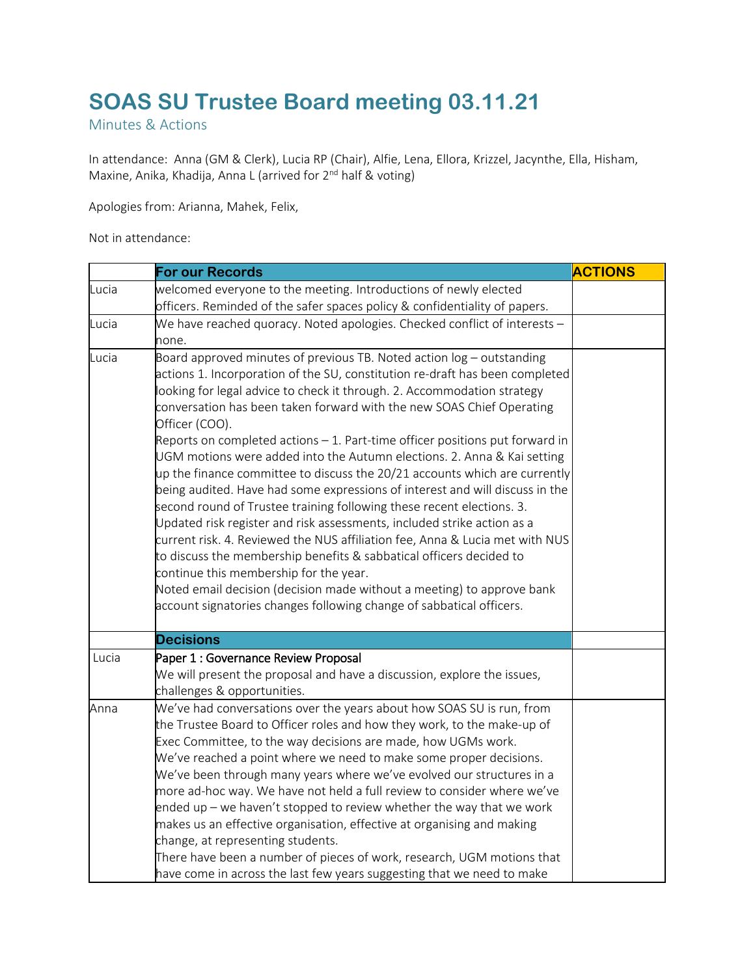## **SOAS SU Trustee Board meeting 03.11.21**

Minutes & Actions

In attendance:  Anna (GM & Clerk), Lucia RP (Chair), Alfie, Lena, Ellora, Krizzel, Jacynthe, Ella, Hisham, Maxine, Anika, Khadija, Anna L (arrived for 2<sup>nd</sup> half & voting)

Apologies from: Arianna, Mahek, Felix,

Not in attendance:

|       | <b>For our Records</b>                                                                                                                                                                                                                                                                                                                                                                                                                                                                                                                                                                                                                                                                                                                                                                                                                                                                                                                                                                                                                                                                                                                                          | <b>ACTIONS</b> |
|-------|-----------------------------------------------------------------------------------------------------------------------------------------------------------------------------------------------------------------------------------------------------------------------------------------------------------------------------------------------------------------------------------------------------------------------------------------------------------------------------------------------------------------------------------------------------------------------------------------------------------------------------------------------------------------------------------------------------------------------------------------------------------------------------------------------------------------------------------------------------------------------------------------------------------------------------------------------------------------------------------------------------------------------------------------------------------------------------------------------------------------------------------------------------------------|----------------|
| Lucia | welcomed everyone to the meeting. Introductions of newly elected<br>officers. Reminded of the safer spaces policy & confidentiality of papers.                                                                                                                                                                                                                                                                                                                                                                                                                                                                                                                                                                                                                                                                                                                                                                                                                                                                                                                                                                                                                  |                |
| Lucia | We have reached quoracy. Noted apologies. Checked conflict of interests -<br>none.                                                                                                                                                                                                                                                                                                                                                                                                                                                                                                                                                                                                                                                                                                                                                                                                                                                                                                                                                                                                                                                                              |                |
| Lucia | Board approved minutes of previous TB. Noted action $log -$ outstanding<br>actions 1. Incorporation of the SU, constitution re-draft has been completed<br>looking for legal advice to check it through. 2. Accommodation strategy<br>conversation has been taken forward with the new SOAS Chief Operating<br>Officer (COO).<br>Reports on completed actions $-1$ . Part-time officer positions put forward in<br>UGM motions were added into the Autumn elections. 2. Anna & Kai setting<br>up the finance committee to discuss the 20/21 accounts which are currently<br>being audited. Have had some expressions of interest and will discuss in the<br>second round of Trustee training following these recent elections. 3.<br>Updated risk register and risk assessments, included strike action as a<br>current risk. 4. Reviewed the NUS affiliation fee, Anna & Lucia met with NUS<br>to discuss the membership benefits & sabbatical officers decided to<br>continue this membership for the year.<br>Noted email decision (decision made without a meeting) to approve bank<br>account signatories changes following change of sabbatical officers. |                |
|       | <b>Decisions</b>                                                                                                                                                                                                                                                                                                                                                                                                                                                                                                                                                                                                                                                                                                                                                                                                                                                                                                                                                                                                                                                                                                                                                |                |
| Lucia | Paper 1 : Governance Review Proposal<br>We will present the proposal and have a discussion, explore the issues,<br>challenges & opportunities.                                                                                                                                                                                                                                                                                                                                                                                                                                                                                                                                                                                                                                                                                                                                                                                                                                                                                                                                                                                                                  |                |
| Anna  | We've had conversations over the years about how SOAS SU is run, from<br>the Trustee Board to Officer roles and how they work, to the make-up of<br>Exec Committee, to the way decisions are made, how UGMs work.<br>We've reached a point where we need to make some proper decisions.<br>We've been through many years where we've evolved our structures in a<br>more ad-hoc way. We have not held a full review to consider where we've<br>ended up $-$ we haven't stopped to review whether the way that we work<br>makes us an effective organisation, effective at organising and making<br>change, at representing students.<br>There have been a number of pieces of work, research, UGM motions that<br>have come in across the last few years suggesting that we need to make                                                                                                                                                                                                                                                                                                                                                                        |                |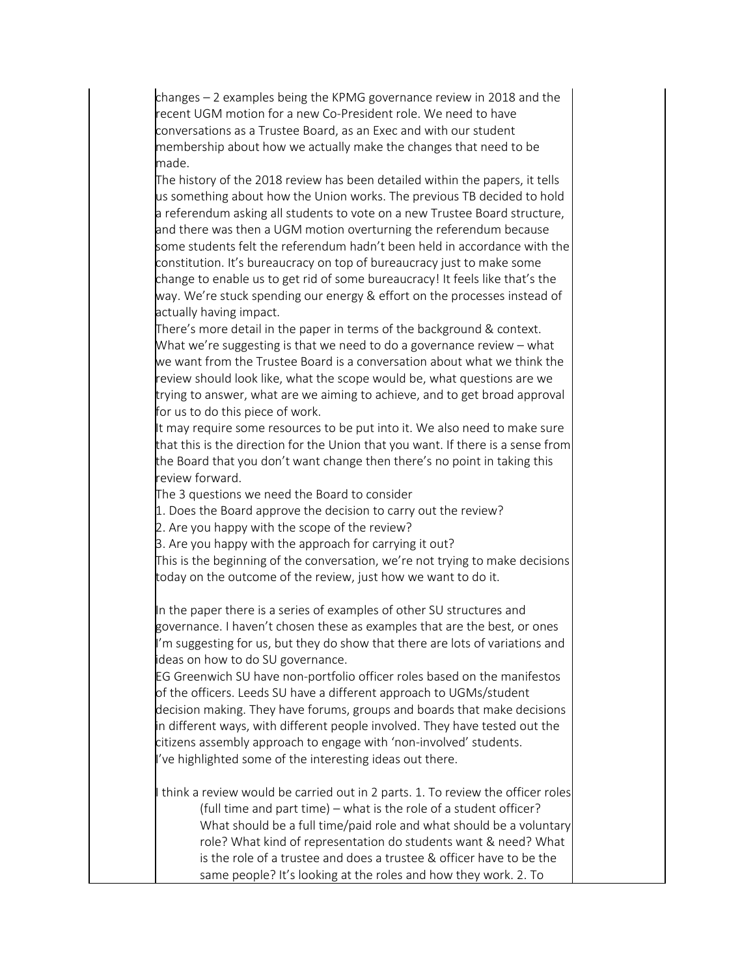changes – 2 examples being the KPMG governance review in 2018 and the recent UGM motion for a new Co-President role. We need to have conversations as a Trustee Board, as an Exec and with our student membership about how we actually make the changes that need to be made.

The history of the 2018 review has been detailed within the papers, it tells us something about how the Union works. The previous TB decided to hold a referendum asking all students to vote on a new Trustee Board structure, and there was then a UGM motion overturning the referendum because some students felt the referendum hadn't been held in accordance with the constitution. It's bureaucracy on top of bureaucracy just to make some change to enable us to get rid of some bureaucracy! It feels like that's the way. We're stuck spending our energy & effort on the processes instead of actually having impact.

There's more detail in the paper in terms of the background & context. What we're suggesting is that we need to do a governance review – what we want from the Trustee Board is a conversation about what we think the review should look like, what the scope would be, what questions are we trying to answer, what are we aiming to achieve, and to get broad approval for us to do this piece of work.

It may require some resources to be put into it. We also need to make sure that this is the direction for the Union that you want. If there is a sense from the Board that you don't want change then there's no point in taking this review forward.

The 3 questions we need the Board to consider

1. Does the Board approve the decision to carry out the review?

2. Are you happy with the scope of the review?

3. Are you happy with the approach for carrying it out?

This is the beginning of the conversation, we're not trying to make decisions today on the outcome of the review, just how we want to do it.

In the paper there is a series of examples of other SU structures and governance. I haven't chosen these as examples that are the best, or ones I'm suggesting for us, but they do show that there are lots of variations and ideas on how to do SU governance.

EG Greenwich SU have non-portfolio officer roles based on the manifestos of the officers. Leeds SU have a different approach to UGMs/student decision making. They have forums, groups and boards that make decisions in different ways, with different people involved. They have tested out the citizens assembly approach to engage with 'non-involved' students. 've highlighted some of the interesting ideas out there.

think a review would be carried out in 2 parts. 1. To review the officer roles (full time and part time) – what is the role of a student officer? What should be a full time/paid role and what should be a voluntary role? What kind of representation do students want & need? What is the role of a trustee and does a trustee & officer have to be the same people? It's looking at the roles and how they work. 2. To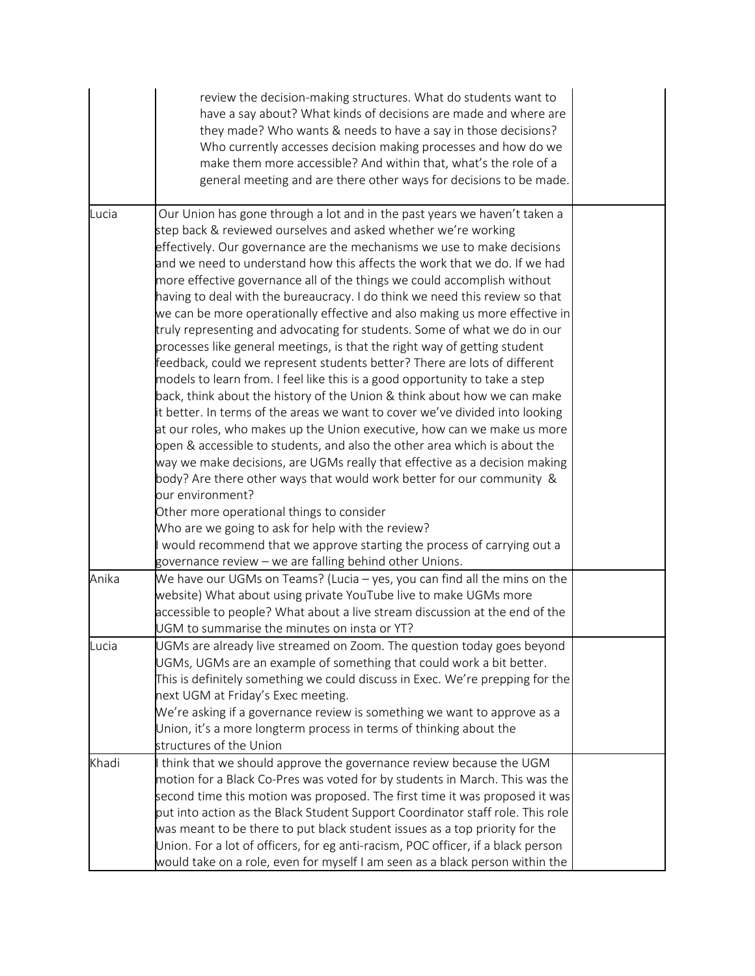|       | review the decision-making structures. What do students want to<br>have a say about? What kinds of decisions are made and where are<br>they made? Who wants & needs to have a say in those decisions?<br>Who currently accesses decision making processes and how do we<br>make them more accessible? And within that, what's the role of a<br>general meeting and are there other ways for decisions to be made.                                                                                                                                                                                                                                                                                                                                                                                                                                                                                                                                                                                                                                                                                                                                                                                                                                                                                                                                                 |  |
|-------|-------------------------------------------------------------------------------------------------------------------------------------------------------------------------------------------------------------------------------------------------------------------------------------------------------------------------------------------------------------------------------------------------------------------------------------------------------------------------------------------------------------------------------------------------------------------------------------------------------------------------------------------------------------------------------------------------------------------------------------------------------------------------------------------------------------------------------------------------------------------------------------------------------------------------------------------------------------------------------------------------------------------------------------------------------------------------------------------------------------------------------------------------------------------------------------------------------------------------------------------------------------------------------------------------------------------------------------------------------------------|--|
| Lucia | Our Union has gone through a lot and in the past years we haven't taken a<br>step back & reviewed ourselves and asked whether we're working<br>effectively. Our governance are the mechanisms we use to make decisions<br>and we need to understand how this affects the work that we do. If we had<br>more effective governance all of the things we could accomplish without<br>having to deal with the bureaucracy. I do think we need this review so that<br>we can be more operationally effective and also making us more effective in<br>truly representing and advocating for students. Some of what we do in our<br>processes like general meetings, is that the right way of getting student<br>feedback, could we represent students better? There are lots of different<br>models to learn from. I feel like this is a good opportunity to take a step<br>back, think about the history of the Union & think about how we can make<br>it better. In terms of the areas we want to cover we've divided into looking<br>at our roles, who makes up the Union executive, how can we make us more<br>open & accessible to students, and also the other area which is about the<br>way we make decisions, are UGMs really that effective as a decision making<br>body? Are there other ways that would work better for our community &<br>our environment? |  |
|       | Other more operational things to consider<br>Who are we going to ask for help with the review?<br>would recommend that we approve starting the process of carrying out a<br>governance review – we are falling behind other Unions.                                                                                                                                                                                                                                                                                                                                                                                                                                                                                                                                                                                                                                                                                                                                                                                                                                                                                                                                                                                                                                                                                                                               |  |
| Anika | We have our UGMs on Teams? (Lucia – yes, you can find all the mins on the<br>website) What about using private YouTube live to make UGMs more<br>accessible to people? What about a live stream discussion at the end of the<br>UGM to summarise the minutes on insta or YT?                                                                                                                                                                                                                                                                                                                                                                                                                                                                                                                                                                                                                                                                                                                                                                                                                                                                                                                                                                                                                                                                                      |  |
| Lucia | UGMs are already live streamed on Zoom. The question today goes beyond<br>UGMs, UGMs are an example of something that could work a bit better.<br>This is definitely something we could discuss in Exec. We're prepping for the<br>next UGM at Friday's Exec meeting.<br>We're asking if a governance review is something we want to approve as a<br>Union, it's a more longterm process in terms of thinking about the<br>structures of the Union                                                                                                                                                                                                                                                                                                                                                                                                                                                                                                                                                                                                                                                                                                                                                                                                                                                                                                                |  |
| Khadi | think that we should approve the governance review because the UGM<br>motion for a Black Co-Pres was voted for by students in March. This was the<br>second time this motion was proposed. The first time it was proposed it was<br>put into action as the Black Student Support Coordinator staff role. This role<br>was meant to be there to put black student issues as a top priority for the<br>Union. For a lot of officers, for eg anti-racism, POC officer, if a black person<br>would take on a role, even for myself I am seen as a black person within the                                                                                                                                                                                                                                                                                                                                                                                                                                                                                                                                                                                                                                                                                                                                                                                             |  |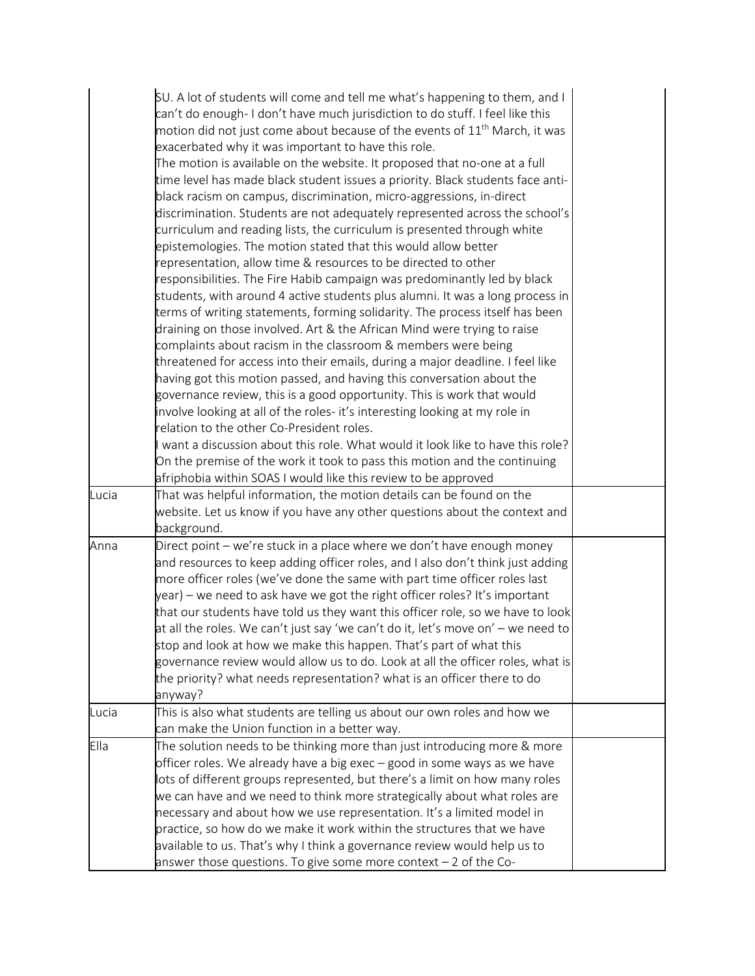|       | SU. A lot of students will come and tell me what's happening to them, and I<br>can't do enough- I don't have much jurisdiction to do stuff. I feel like this<br>motion did not just come about because of the events of $11^{\text{th}}$ March, it was<br>exacerbated why it was important to have this role.<br>The motion is available on the website. It proposed that no-one at a full<br>time level has made black student issues a priority. Black students face anti-<br>black racism on campus, discrimination, micro-aggressions, in-direct<br>discrimination. Students are not adequately represented across the school's<br>curriculum and reading lists, the curriculum is presented through white<br>epistemologies. The motion stated that this would allow better<br>representation, allow time & resources to be directed to other<br>responsibilities. The Fire Habib campaign was predominantly led by black<br>students, with around 4 active students plus alumni. It was a long process in<br>terms of writing statements, forming solidarity. The process itself has been<br>draining on those involved. Art & the African Mind were trying to raise<br>complaints about racism in the classroom & members were being |  |
|-------|---------------------------------------------------------------------------------------------------------------------------------------------------------------------------------------------------------------------------------------------------------------------------------------------------------------------------------------------------------------------------------------------------------------------------------------------------------------------------------------------------------------------------------------------------------------------------------------------------------------------------------------------------------------------------------------------------------------------------------------------------------------------------------------------------------------------------------------------------------------------------------------------------------------------------------------------------------------------------------------------------------------------------------------------------------------------------------------------------------------------------------------------------------------------------------------------------------------------------------------------|--|
|       | threatened for access into their emails, during a major deadline. I feel like<br>having got this motion passed, and having this conversation about the<br>governance review, this is a good opportunity. This is work that would<br>involve looking at all of the roles- it's interesting looking at my role in<br>relation to the other Co-President roles.                                                                                                                                                                                                                                                                                                                                                                                                                                                                                                                                                                                                                                                                                                                                                                                                                                                                                |  |
|       | want a discussion about this role. What would it look like to have this role?<br>On the premise of the work it took to pass this motion and the continuing<br>afriphobia within SOAS I would like this review to be approved                                                                                                                                                                                                                                                                                                                                                                                                                                                                                                                                                                                                                                                                                                                                                                                                                                                                                                                                                                                                                |  |
| Lucia | That was helpful information, the motion details can be found on the<br>website. Let us know if you have any other questions about the context and<br>background.                                                                                                                                                                                                                                                                                                                                                                                                                                                                                                                                                                                                                                                                                                                                                                                                                                                                                                                                                                                                                                                                           |  |
| Anna  | Direct point - we're stuck in a place where we don't have enough money<br>and resources to keep adding officer roles, and I also don't think just adding<br>more officer roles (we've done the same with part time officer roles last<br>year) – we need to ask have we got the right officer roles? It's important<br>that our students have told us they want this officer role, so we have to look<br>at all the roles. We can't just say 'we can't do it, let's move on' — we need to<br>stop and look at how we make this happen. That's part of what this<br>governance review would allow us to do. Look at all the officer roles, what is<br>the priority? what needs representation? what is an officer there to do<br>anyway?                                                                                                                                                                                                                                                                                                                                                                                                                                                                                                     |  |
| Lucia | This is also what students are telling us about our own roles and how we<br>can make the Union function in a better way.                                                                                                                                                                                                                                                                                                                                                                                                                                                                                                                                                                                                                                                                                                                                                                                                                                                                                                                                                                                                                                                                                                                    |  |
| Ella  | The solution needs to be thinking more than just introducing more & more<br>officer roles. We already have a big exec – good in some ways as we have<br>lots of different groups represented, but there's a limit on how many roles<br>we can have and we need to think more strategically about what roles are<br>necessary and about how we use representation. It's a limited model in<br>practice, so how do we make it work within the structures that we have<br>available to us. That's why I think a governance review would help us to<br>answer those questions. To give some more context $-2$ of the Co-                                                                                                                                                                                                                                                                                                                                                                                                                                                                                                                                                                                                                        |  |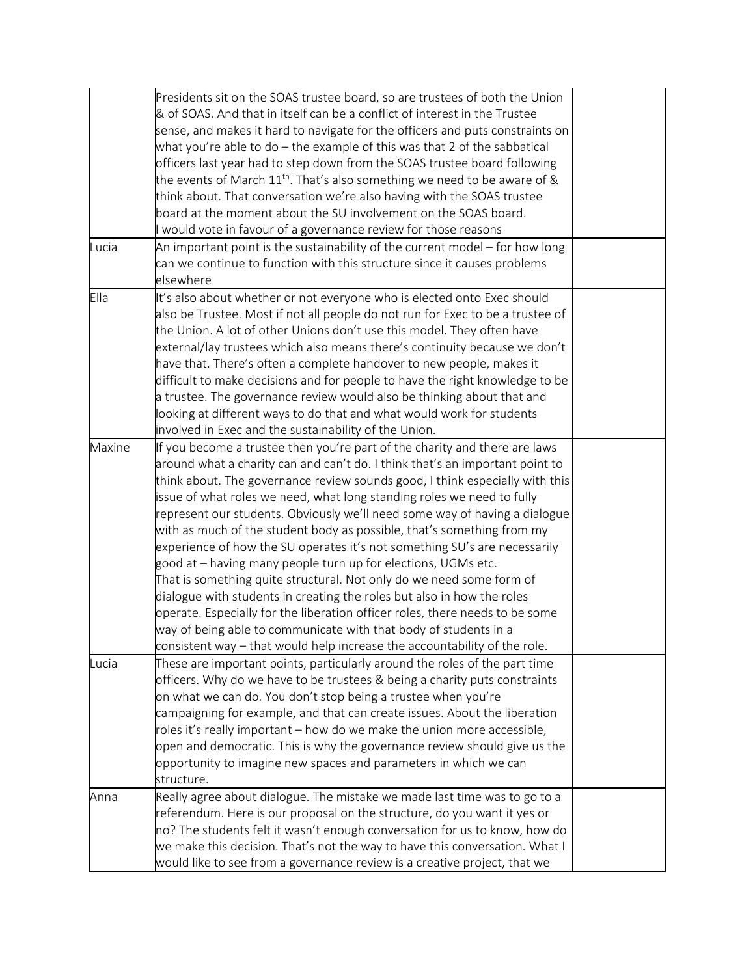|        | Presidents sit on the SOAS trustee board, so are trustees of both the Union<br>& of SOAS. And that in itself can be a conflict of interest in the Trustee<br>sense, and makes it hard to navigate for the officers and puts constraints on<br>what you're able to do $-$ the example of this was that 2 of the sabbatical<br>officers last year had to step down from the SOAS trustee board following<br>the events of March $11^{th}$ . That's also something we need to be aware of &<br>think about. That conversation we're also having with the SOAS trustee<br>board at the moment about the SU involvement on the SOAS board.<br>would vote in favour of a governance review for those reasons                                                                                                                                                                                                                                                                                                        |  |
|--------|---------------------------------------------------------------------------------------------------------------------------------------------------------------------------------------------------------------------------------------------------------------------------------------------------------------------------------------------------------------------------------------------------------------------------------------------------------------------------------------------------------------------------------------------------------------------------------------------------------------------------------------------------------------------------------------------------------------------------------------------------------------------------------------------------------------------------------------------------------------------------------------------------------------------------------------------------------------------------------------------------------------|--|
| Lucia  | An important point is the sustainability of the current model $-$ for how long<br>can we continue to function with this structure since it causes problems<br>elsewhere                                                                                                                                                                                                                                                                                                                                                                                                                                                                                                                                                                                                                                                                                                                                                                                                                                       |  |
| Ella   | It's also about whether or not everyone who is elected onto Exec should<br>also be Trustee. Most if not all people do not run for Exec to be a trustee of<br>the Union. A lot of other Unions don't use this model. They often have<br>external/lay trustees which also means there's continuity because we don't<br>have that. There's often a complete handover to new people, makes it<br>difficult to make decisions and for people to have the right knowledge to be<br>a trustee. The governance review would also be thinking about that and<br>looking at different ways to do that and what would work for students<br>involved in Exec and the sustainability of the Union.                                                                                                                                                                                                                                                                                                                         |  |
| Maxine | If you become a trustee then you're part of the charity and there are laws<br>around what a charity can and can't do. I think that's an important point to<br>think about. The governance review sounds good, I think especially with this<br>issue of what roles we need, what long standing roles we need to fully<br>represent our students. Obviously we'll need some way of having a dialogue<br>with as much of the student body as possible, that's something from my<br>experience of how the SU operates it's not something SU's are necessarily<br>good at – having many people turn up for elections, UGMs etc.<br>That is something quite structural. Not only do we need some form of<br>dialogue with students in creating the roles but also in how the roles<br>operate. Especially for the liberation officer roles, there needs to be some<br>way of being able to communicate with that body of students in a<br>consistent way – that would help increase the accountability of the role. |  |
| Lucia  | These are important points, particularly around the roles of the part time<br>officers. Why do we have to be trustees & being a charity puts constraints<br>on what we can do. You don't stop being a trustee when you're<br>campaigning for example, and that can create issues. About the liberation<br>roles it's really important – how do we make the union more accessible,<br>open and democratic. This is why the governance review should give us the<br>opportunity to imagine new spaces and parameters in which we can<br>structure.                                                                                                                                                                                                                                                                                                                                                                                                                                                              |  |
| Anna   | Really agree about dialogue. The mistake we made last time was to go to a<br>referendum. Here is our proposal on the structure, do you want it yes or<br>no? The students felt it wasn't enough conversation for us to know, how do<br>we make this decision. That's not the way to have this conversation. What I<br>would like to see from a governance review is a creative project, that we                                                                                                                                                                                                                                                                                                                                                                                                                                                                                                                                                                                                               |  |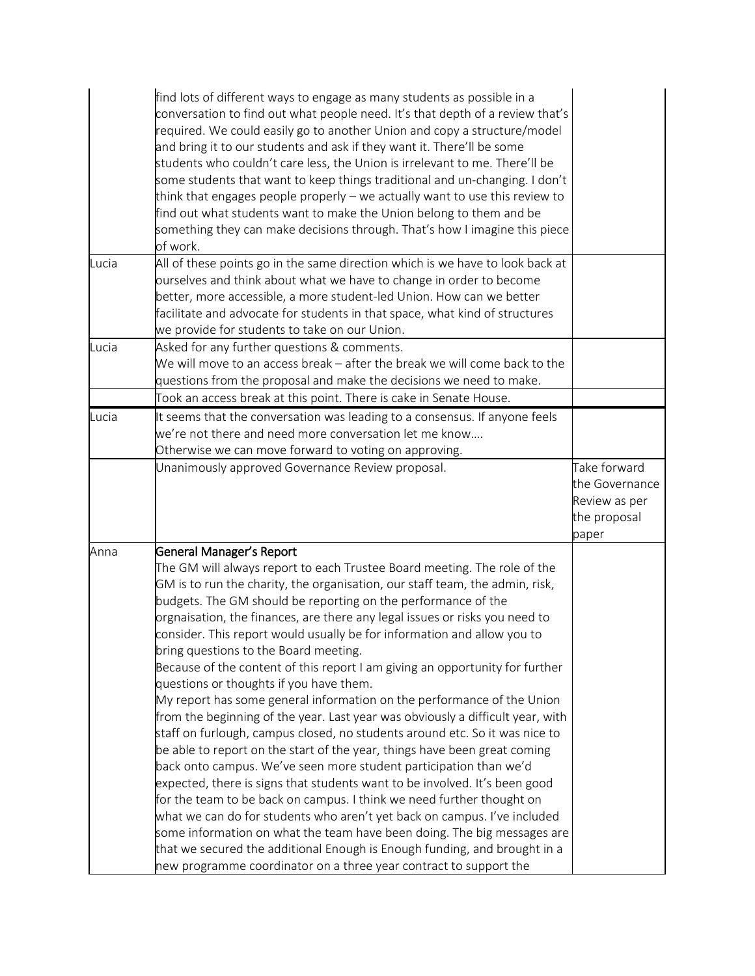|       | find lots of different ways to engage as many students as possible in a<br>conversation to find out what people need. It's that depth of a review that's<br>required. We could easily go to another Union and copy a structure/model<br>and bring it to our students and ask if they want it. There'll be some<br>students who couldn't care less, the Union is irrelevant to me. There'll be<br>some students that want to keep things traditional and un-changing. I don't<br>think that engages people properly – we actually want to use this review to<br>find out what students want to make the Union belong to them and be<br>something they can make decisions through. That's how I imagine this piece<br>of work.                                                                                                                                                                                                                                                                                                                                                                                                                                                                                                                                                                                                                                                                                                                     |                                                 |
|-------|--------------------------------------------------------------------------------------------------------------------------------------------------------------------------------------------------------------------------------------------------------------------------------------------------------------------------------------------------------------------------------------------------------------------------------------------------------------------------------------------------------------------------------------------------------------------------------------------------------------------------------------------------------------------------------------------------------------------------------------------------------------------------------------------------------------------------------------------------------------------------------------------------------------------------------------------------------------------------------------------------------------------------------------------------------------------------------------------------------------------------------------------------------------------------------------------------------------------------------------------------------------------------------------------------------------------------------------------------------------------------------------------------------------------------------------------------|-------------------------------------------------|
| Lucia | All of these points go in the same direction which is we have to look back at<br>ourselves and think about what we have to change in order to become<br>better, more accessible, a more student-led Union. How can we better<br>facilitate and advocate for students in that space, what kind of structures<br>we provide for students to take on our Union.                                                                                                                                                                                                                                                                                                                                                                                                                                                                                                                                                                                                                                                                                                                                                                                                                                                                                                                                                                                                                                                                                     |                                                 |
| Lucia | Asked for any further questions & comments.<br>We will move to an access break – after the break we will come back to the<br>questions from the proposal and make the decisions we need to make.<br>Took an access break at this point. There is cake in Senate House.                                                                                                                                                                                                                                                                                                                                                                                                                                                                                                                                                                                                                                                                                                                                                                                                                                                                                                                                                                                                                                                                                                                                                                           |                                                 |
| Lucia | It seems that the conversation was leading to a consensus. If anyone feels<br>we're not there and need more conversation let me know<br>Otherwise we can move forward to voting on approving.<br>Unanimously approved Governance Review proposal.                                                                                                                                                                                                                                                                                                                                                                                                                                                                                                                                                                                                                                                                                                                                                                                                                                                                                                                                                                                                                                                                                                                                                                                                | Take forward<br>the Governance<br>Review as per |
|       |                                                                                                                                                                                                                                                                                                                                                                                                                                                                                                                                                                                                                                                                                                                                                                                                                                                                                                                                                                                                                                                                                                                                                                                                                                                                                                                                                                                                                                                  | the proposal<br>paper                           |
| Anna  | General Manager's Report<br>The GM will always report to each Trustee Board meeting. The role of the<br>GM is to run the charity, the organisation, our staff team, the admin, risk,<br>budgets. The GM should be reporting on the performance of the<br>orgnaisation, the finances, are there any legal issues or risks you need to<br>consider. This report would usually be for information and allow you to<br>bring questions to the Board meeting.<br>Because of the content of this report I am giving an opportunity for further<br>questions or thoughts if you have them.<br>My report has some general information on the performance of the Union<br>from the beginning of the year. Last year was obviously a difficult year, with<br>staff on furlough, campus closed, no students around etc. So it was nice to<br>be able to report on the start of the year, things have been great coming<br>back onto campus. We've seen more student participation than we'd<br>expected, there is signs that students want to be involved. It's been good<br>for the team to be back on campus. I think we need further thought on<br>what we can do for students who aren't yet back on campus. I've included<br>some information on what the team have been doing. The big messages are<br>that we secured the additional Enough is Enough funding, and brought in a<br>new programme coordinator on a three year contract to support the |                                                 |